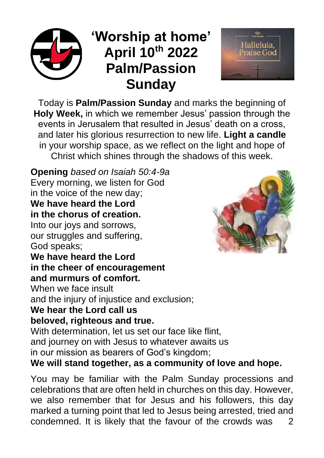# **'Worship at home' April 10th 2022 Palm/Passion Sunday**



Today is **Palm/Passion Sunday** and marks the beginning of **Holy Week,** in which we remember Jesus' passion through the events in Jerusalem that resulted in Jesus' death on a cross, and later his glorious resurrection to new life. **Light a candle** in your worship space, as we reflect on the light and hope of Christ which shines through the shadows of this week.

**Opening** *based on Isaiah 50:4-9a* Every morning, we listen for God in the voice of the new day; **We have heard the Lord in the chorus of creation.** Into our joys and sorrows,

our struggles and suffering, God speaks;

## **We have heard the Lord in the cheer of encouragement and murmurs of comfort.**

When we face insult and the injury of injustice and exclusion;

# **We hear the Lord call us**

#### **beloved, righteous and true.**

With determination, let us set our face like flint, and journey on with Jesus to whatever awaits us in our mission as bearers of God's kingdom;

# **We will stand together, as a community of love and hope.**

You may be familiar with the Palm Sunday processions and celebrations that are often held in churches on this day. However, we also remember that for Jesus and his followers, this day marked a turning point that led to Jesus being arrested, tried and condemned. It is likely that the favour of the crowds was 2

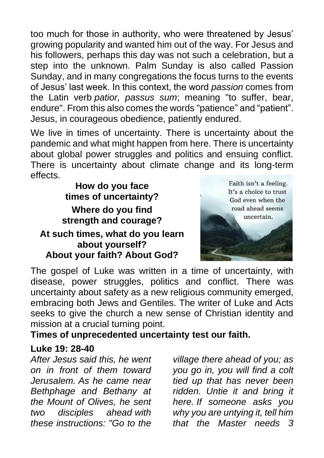too much for those in authority, who were threatened by Jesus' growing popularity and wanted him out of the way. For Jesus and his followers, perhaps this day was not such a celebration, but a step into the unknown. Palm Sunday is also called Passion Sunday, and in many congregations the focus turns to the events of Jesus' last week. In this context, the word *passion* comes from the Latin verb *patior, passus sum*; meaning "to suffer, bear, endure". From this also comes the words "patience" and "patient". Jesus, in courageous obedience, patiently endured.

We live in times of uncertainty. There is uncertainty about the pandemic and what might happen from here. There is uncertainty about global power struggles and politics and ensuing conflict. There is uncertainty about climate change and its long-term effects.

**How do you face times of uncertainty? Where do you find strength and courage? At such times, what do you learn about yourself? About your faith? About God?**



The gospel of Luke was written in a time of uncertainty, with disease, power struggles, politics and conflict. There was uncertainty about safety as a new religious community emerged, embracing both Jews and Gentiles. The writer of Luke and Acts seeks to give the church a new sense of Christian identity and mission at a crucial turning point.

#### **Times of unprecedented uncertainty test our faith.**

#### **Luke 19: 28-40**

*After Jesus said this, he went on in front of them toward Jerusalem. As he came near Bethphage and Bethany at the Mount of Olives, he sent two disciples ahead with these instructions: "Go to the* 

*village there ahead of you; as you go in, you will find a colt tied up that has never been ridden. Untie it and bring it here. If someone asks you why you are untying it, tell him that the Master needs 3*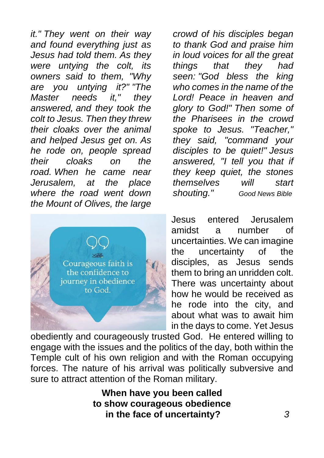*it." They went on their way and found everything just as Jesus had told them. As they were untying the colt, its owners said to them, "Why are you untying it?" "The Master needs it," they answered, and they took the colt to Jesus. Then they threw their cloaks over the animal and helped Jesus get on. As he rode on, people spread their cloaks on the road. When he came near Jerusalem, at the place where the road went down the Mount of Olives, the large* 



*crowd of his disciples began to thank God and praise him in loud voices for all the great things that they had seen: "God bless the king who comes in the name of the Lord! Peace in heaven and glory to God!" Then some of the Pharisees in the crowd spoke to Jesus. "Teacher," they said, "command your disciples to be quiet!" Jesus answered, "I tell you that if they keep quiet, the stones themselves will start shouting." Good News Bible*

Jesus entered Jerusalem amidst a number of uncertainties. We can imagine the uncertainty of the disciples, as Jesus sends them to bring an unridden colt. There was uncertainty about how he would be received as he rode into the city, and about what was to await him in the days to come. Yet Jesus

obediently and courageously trusted God. He entered willing to engage with the issues and the politics of the day, both within the Temple cult of his own religion and with the Roman occupying forces. The nature of his arrival was politically subversive and sure to attract attention of the Roman military.

> **When have you been called to show courageous obedience in the face of uncertainty?** *3*